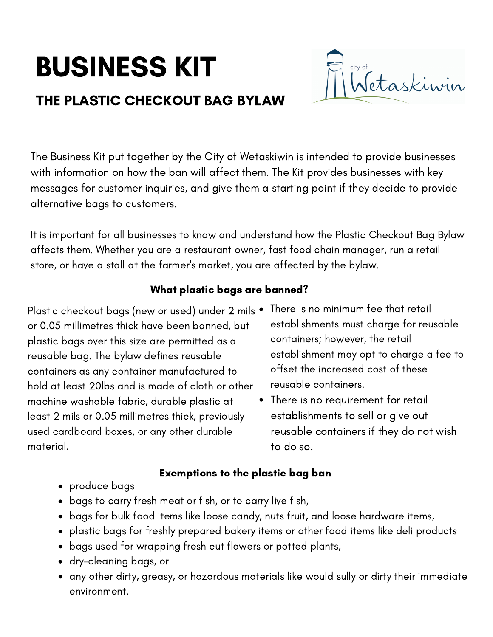# BUSINESS KIT

# THE PLASTIC CHECKOUT BAG BYLAW



The Business Kit put together by the City of Wetaskiwin is intended to provide businesses with information on how the ban will affect them. The Kit provides businesses with key messages for customer inquiries, and give them a starting point if they decide to provide alternative bags to customers.

It is important for all businesses to know and understand how the Plastic Checkout Bag Bylaw affects them. Whether you are a restaurant owner, fast food chain manager, run a retail store, or have a stall at the farmer's market, you are affected by the bylaw.

# What plastic bags are banned?

Plastic checkout bags (new or used) under 2 mils • or 0.05 millimetres thick have been banned, but plastic bags over this size are permitted as a reusable bag. The bylaw defines reusable containers as any container manufactured to hold at least 20lbs and is made of cloth or other machine washable fabric, durable plastic at least 2 mils or 0.05 millimetres thick, previously used cardboard boxes, or any other durable material.

- There is no minimum fee that retail establishments must charge for reusable containers; however, the retail establishment may opt to charge a fee to offset the increased cost of these reusable containers.
- There is no requirement for retail establishments to sell or give out reusable containers if they do not wish to do so.

#### Exemptions to the plastic bag ban

- produce bags
- bags to carry fresh meat or fish, or to carry live fish,
- bags for bulk food items like loose candy, nuts fruit, and loose hardware items,
- plastic bags for freshly prepared bakery items or other food items like deli products
- bags used for wrapping fresh cut flowers or potted plants,
- dry-cleaning bags, or
- any other dirty, greasy, or hazardous materials like would sully or dirty their immediate environment.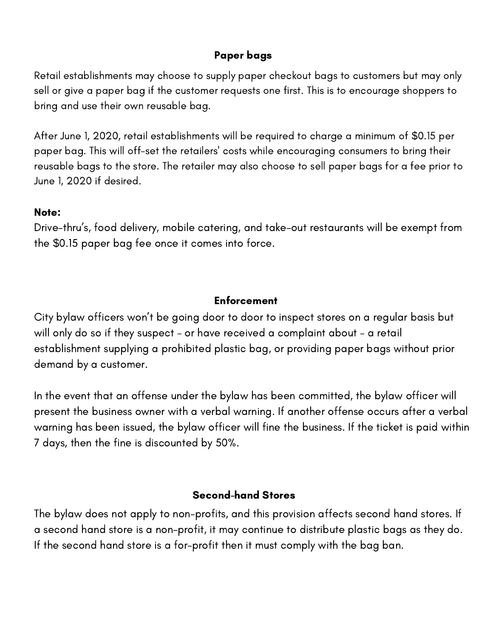### Paper bags

Retail establishments may choose to supply paper checkout bags to customers but may only sell or give a paper bag if the customer requests one first. This is to encourage shoppers to bring and use their own reusable bag.

After June 1, 2020, retail establishments will be required to charge a minimum of \$0.15 per paper bag. This will off-set the retailers' costs while encouraging consumers to bring their reusable bags to the store. The retailer may also choose to sell paper bags for a fee prior to June 1, 2020 if desired.

#### Note:

Drive-thru's, food delivery, mobile catering, and take-out restaurants will be exempt from the \$0.15 paper bag fee once it comes into force.

#### **Enforcement**

City bylaw officers won't be going door to door to inspect stores on a regular basis but will only do so if they suspect – or have received a complaint about – a retail establishment supplying a prohibited plastic bag, or providing paper bags without prior demand by a customer.

In the event that an offense under the bylaw has been committed, the bylaw officer will present the business owner with a verbal warning. If another offense occurs after a verbal warning has been issued, the bylaw officer will fine the business. If the ticket is paid within 7 days, then the fine is discounted by 50%.

### Second-hand Stores

The bylaw does not apply to non-profits, and this provision affects second hand stores. If a second hand store is a non-profit, it may continue to distribute plastic bags as they do. If the second hand store is a for-profit then it must comply with the bag ban.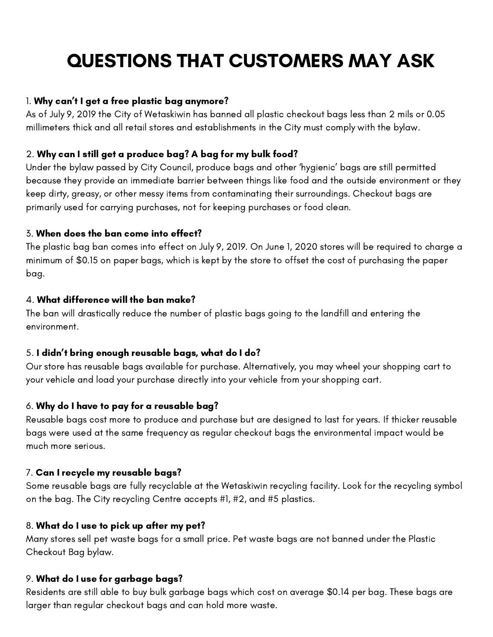# QUESTIONS THAT CUSTOMERS MAY ASK

#### 1. Why can't I get a free plastic bag anymore?

As of July 9, 2019 the City of Wetaskiwin has banned all plastic checkout bags less than 2 mils or 0.05 millimeters thick and all retail stores and establishments in the City must comply with the bylaw.

#### 2. Why can I still get a produce bag? A bag for my bulk food?

Under the bylaw passed by City Council, produce bags and other 'hygienic' bags are still permitted because they provide an immediate barrier between things like food and the outside environment or they keep dirty, greasy, or other messy items from contaminating their surroundings. Checkout bags are primarily used for carrying purchases, not for keeping purchases or food clean.

#### 3. When does the ban come into effect?

The plastic bag ban comes into effect on July 9, 2019. On June 1, 2020 stores will be required to charge a minimum of \$0.15 on paper bags, which is kept by the store to offset the cost of purchasing the paper bag.

#### 4. What difference will the ban make?

The ban will drastically reduce the number of plastic bags going to the landfill and entering the environment.

#### 5. I didn't bring enough reusable bags, what do I do?

Our store has reusable bags available for purchase. Alternatively, you may wheel your shopping cart to your vehicle and load your purchase directly into your vehicle from your shopping cart.

#### 6. Why do I have to pay for a reusable bag?

Reusable bags cost more to produce and purchase but are designed to last for years. If thicker reusable bags were used at the same frequency as regular checkout bags the environmental impact would be much more serious.

#### 7. Can I recycle my reusable bags?

Some reusable bags are fully recyclable at the Wetaskiwin recycling facility. Look for the recycling symbol on the bag. The City recycling Centre accepts #1, #2, and #5 plastics.

#### 8. What do I use to pick up after my pet?

Many stores sell pet waste bags for a small price. Pet waste bags are not banned under the Plastic Checkout Bag bylaw.

#### 9. What do I use for garbage bags?

Residents are still able to buy bulk garbage bags which cost on average \$0.14 per bag. These bags are larger than regular checkout bags and can hold more waste.